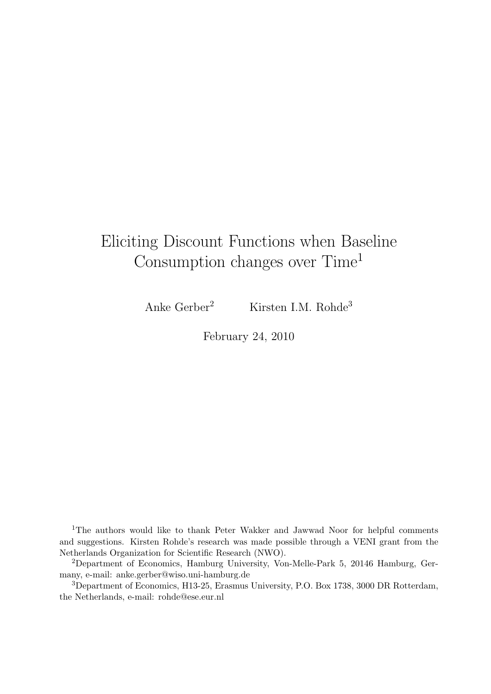# Eliciting Discount Functions when Baseline Consumption changes over Time<sup>1</sup>

Anke Gerber<sup>2</sup> Kirsten I.M. Rohde<sup>3</sup>

February 24, 2010

<sup>1</sup>The authors would like to thank Peter Wakker and Jawwad Noor for helpful comments and suggestions. Kirsten Rohde's research was made possible through a VENI grant from the Netherlands Organization for Scientific Research (NWO).

<sup>2</sup>Department of Economics, Hamburg University, Von-Melle-Park 5, 20146 Hamburg, Germany, e-mail: anke.gerber@wiso.uni-hamburg.de

<sup>3</sup>Department of Economics, H13-25, Erasmus University, P.O. Box 1738, 3000 DR Rotterdam, the Netherlands, e-mail: rohde@ese.eur.nl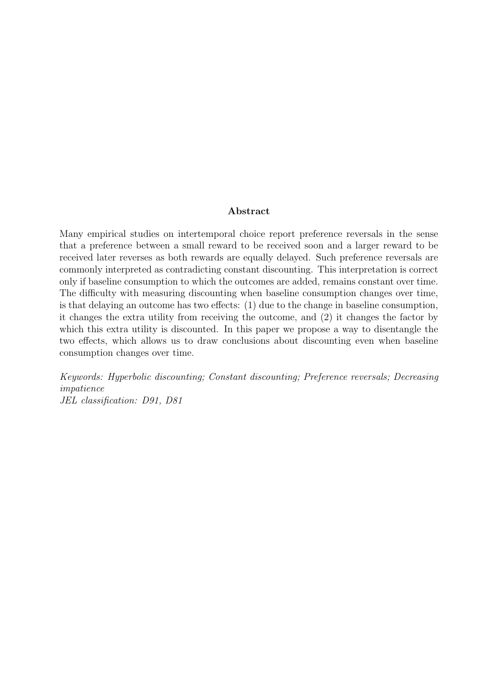#### Abstract

Many empirical studies on intertemporal choice report preference reversals in the sense that a preference between a small reward to be received soon and a larger reward to be received later reverses as both rewards are equally delayed. Such preference reversals are commonly interpreted as contradicting constant discounting. This interpretation is correct only if baseline consumption to which the outcomes are added, remains constant over time. The difficulty with measuring discounting when baseline consumption changes over time, is that delaying an outcome has two effects: (1) due to the change in baseline consumption, it changes the extra utility from receiving the outcome, and (2) it changes the factor by which this extra utility is discounted. In this paper we propose a way to disentangle the two effects, which allows us to draw conclusions about discounting even when baseline consumption changes over time.

Keywords: Hyperbolic discounting; Constant discounting; Preference reversals; Decreasing impatience JEL classification: D91, D81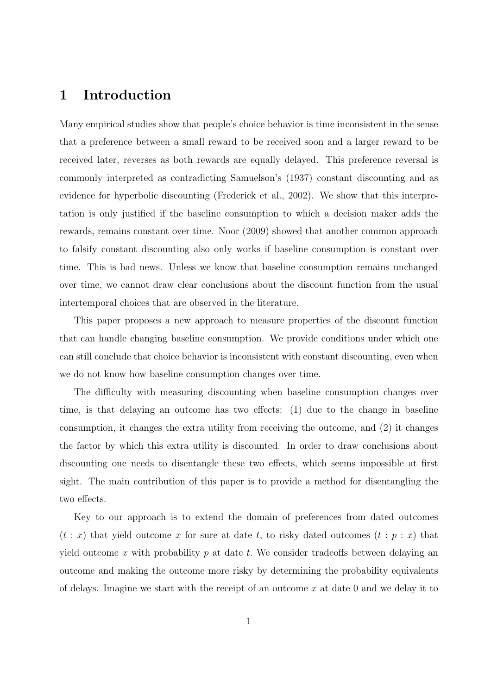#### 1 Introduction

Many empirical studies show that people's choice behavior is time inconsistent in the sense that a preference between a small reward to be received soon and a larger reward to be received later, reverses as both rewards are equally delayed. This preference reversal is commonly interpreted as contradicting Samuelson's (1937) constant discounting and as evidence for hyperbolic discounting (Frederick et al., 2002). We show that this interpretation is only justified if the baseline consumption to which a decision maker adds the rewards, remains constant over time. Noor (2009) showed that another common approach to falsify constant discounting also only works if baseline consumption is constant over time. This is bad news. Unless we know that baseline consumption remains unchanged over time, we cannot draw clear conclusions about the discount function from the usual intertemporal choices that are observed in the literature.

This paper proposes a new approach to measure properties of the discount function that can handle changing baseline consumption. We provide conditions under which one can still conclude that choice behavior is inconsistent with constant discounting, even when we do not know how baseline consumption changes over time.

The difficulty with measuring discounting when baseline consumption changes over time, is that delaying an outcome has two effects: (1) due to the change in baseline consumption, it changes the extra utility from receiving the outcome, and (2) it changes the factor by which this extra utility is discounted. In order to draw conclusions about discounting one needs to disentangle these two effects, which seems impossible at first sight. The main contribution of this paper is to provide a method for disentangling the two effects.

Key to our approach is to extend the domain of preferences from dated outcomes  $(t : x)$  that yield outcome x for sure at date t, to risky dated outcomes  $(t : p : x)$  that yield outcome x with probability  $p$  at date  $t$ . We consider tradeoffs between delaying an outcome and making the outcome more risky by determining the probability equivalents of delays. Imagine we start with the receipt of an outcome  $x$  at date 0 and we delay it to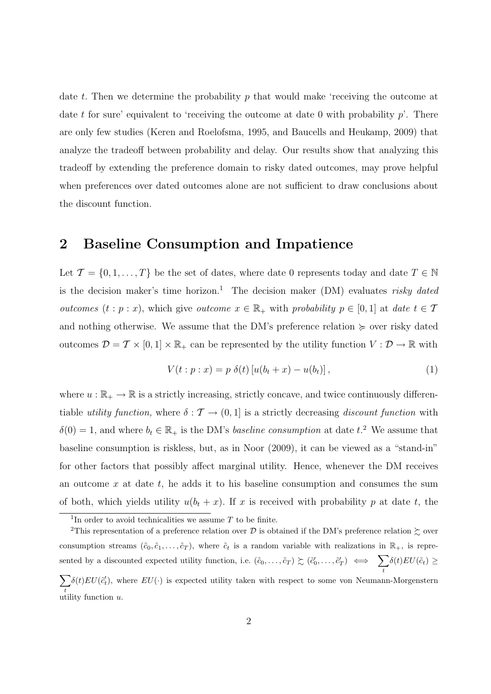date t. Then we determine the probability  $p$  that would make 'receiving the outcome at date t for sure' equivalent to 'receiving the outcome at date 0 with probability  $p'$ . There are only few studies (Keren and Roelofsma, 1995, and Baucells and Heukamp, 2009) that analyze the tradeoff between probability and delay. Our results show that analyzing this tradeoff by extending the preference domain to risky dated outcomes, may prove helpful when preferences over dated outcomes alone are not sufficient to draw conclusions about the discount function.

#### 2 Baseline Consumption and Impatience

Let  $\mathcal{T} = \{0, 1, \ldots, T\}$  be the set of dates, where date 0 represents today and date  $T \in \mathbb{N}$ is the decision maker's time horizon.<sup>1</sup> The decision maker (DM) evaluates risky dated *outcomes*  $(t : p : x)$ , which give *outcome*  $x \in \mathbb{R}_+$  with *probability*  $p \in [0, 1]$  at date  $t \in \mathcal{T}$ and nothing otherwise. We assume that the DM's preference relation  $\succeq$  over risky dated outcomes  $\mathcal{D} = \mathcal{T} \times [0,1] \times \mathbb{R}_+$  can be represented by the utility function  $V : \mathcal{D} \to \mathbb{R}$  with

$$
V(t : p : x) = p \delta(t) [u(b_t + x) - u(b_t)], \qquad (1)
$$

where  $u : \mathbb{R}_+ \to \mathbb{R}$  is a strictly increasing, strictly concave, and twice continuously differentiable utility function, where  $\delta : \mathcal{T} \to (0,1]$  is a strictly decreasing discount function with  $\delta(0) = 1$ , and where  $b_t \in \mathbb{R}_+$  is the DM's baseline consumption at date t.<sup>2</sup> We assume that baseline consumption is riskless, but, as in Noor (2009), it can be viewed as a "stand-in" for other factors that possibly affect marginal utility. Hence, whenever the DM receives an outcome  $x$  at date  $t$ , he adds it to his baseline consumption and consumes the sum of both, which yields utility  $u(b_t + x)$ . If x is received with probability p at date t, the

<sup>&</sup>lt;sup>1</sup>In order to avoid technicalities we assume  $T$  to be finite.

<sup>&</sup>lt;sup>2</sup>This representation of a preference relation over  $\mathcal D$  is obtained if the DM's preference relation  $\succsim$  over consumption streams  $(\tilde{c}_0, \tilde{c}_1, \ldots, \tilde{c}_T)$ , where  $\tilde{c}_t$  is a random variable with realizations in  $\mathbb{R}_+$ , is represented by a discounted expected utility function, i.e.  $(\tilde{c}_0, \ldots, \tilde{c}_T) \succeq (\tilde{c}'_0, \ldots, \tilde{c}'_T) \iff \sum \delta(t) EU(\tilde{c}_t) \geq$  $\mathbf{t}$ t  $\delta(t)EU(\tilde{c}'_t)$ , where  $EU(\cdot)$  is expected utility taken with respect to some von Neumann-Morgenstern utility function  $u$ .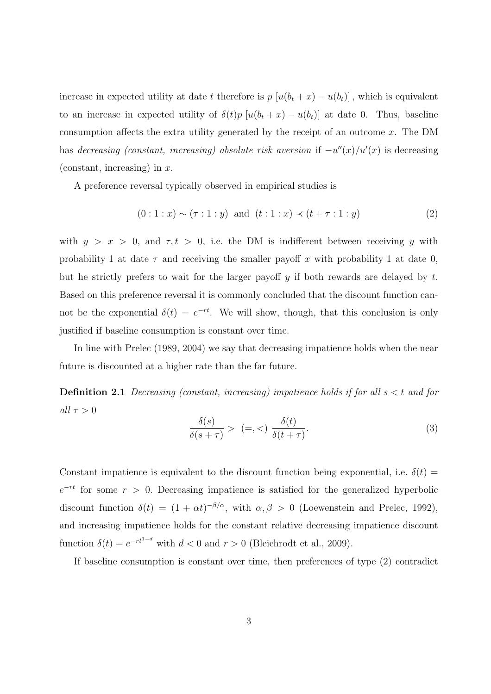increase in expected utility at date t therefore is  $p [u(b_t + x) - u(b_t)]$ , which is equivalent to an increase in expected utility of  $\delta(t)p$  [ $u(b_t + x) - u(b_t)$ ] at date 0. Thus, baseline consumption affects the extra utility generated by the receipt of an outcome  $x$ . The DM has decreasing (constant, increasing) absolute risk aversion if  $-u''(x)/u'(x)$  is decreasing (constant, increasing) in  $x$ .

A preference reversal typically observed in empirical studies is

$$
(0:1:x) \sim (\tau:1:y) \text{ and } (t:1:x) \prec (t+\tau:1:y) \tag{2}
$$

with  $y > x > 0$ , and  $\tau, t > 0$ , i.e. the DM is indifferent between receiving y with probability 1 at date  $\tau$  and receiving the smaller payoff x with probability 1 at date 0, but he strictly prefers to wait for the larger payoff  $y$  if both rewards are delayed by t. Based on this preference reversal it is commonly concluded that the discount function cannot be the exponential  $\delta(t) = e^{-rt}$ . We will show, though, that this conclusion is only justified if baseline consumption is constant over time.

In line with Prelec (1989, 2004) we say that decreasing impatience holds when the near future is discounted at a higher rate than the far future.

**Definition 2.1** Decreasing (constant, increasing) impatience holds if for all  $s < t$  and for all  $\tau > 0$ 

$$
\frac{\delta(s)}{\delta(s+\tau)} > (=, <) \frac{\delta(t)}{\delta(t+\tau)}.
$$
\n(3)

Constant impatience is equivalent to the discount function being exponential, i.e.  $\delta(t)$  =  $e^{-rt}$  for some  $r > 0$ . Decreasing impatience is satisfied for the generalized hyperbolic discount function  $\delta(t) = (1 + \alpha t)^{-\beta/\alpha}$ , with  $\alpha, \beta > 0$  (Loewenstein and Prelec, 1992), and increasing impatience holds for the constant relative decreasing impatience discount function  $\delta(t) = e^{-rt^{1-d}}$  with  $d < 0$  and  $r > 0$  (Bleichrodt et al., 2009).

If baseline consumption is constant over time, then preferences of type (2) contradict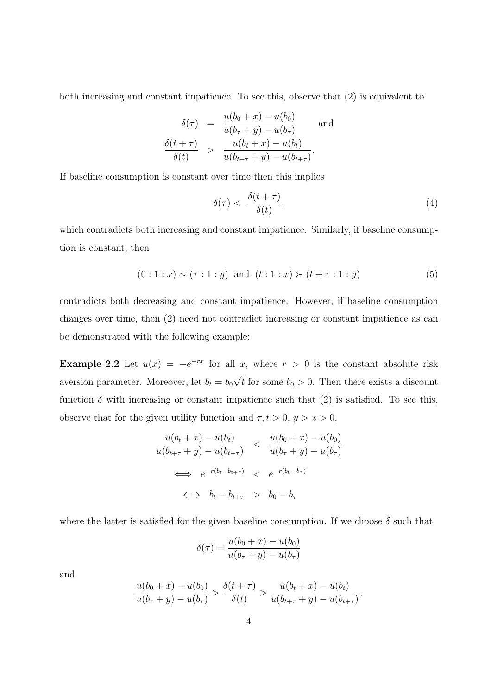both increasing and constant impatience. To see this, observe that (2) is equivalent to

$$
\delta(\tau) = \frac{u(b_0 + x) - u(b_0)}{u(b_\tau + y) - u(b_\tau)} \quad \text{and}
$$

$$
\frac{\delta(t + \tau)}{\delta(t)} > \frac{u(b_t + x) - u(b_t)}{u(b_{t + \tau} + y) - u(b_{t + \tau})}.
$$

If baseline consumption is constant over time then this implies

$$
\delta(\tau) < \frac{\delta(t+\tau)}{\delta(t)},\tag{4}
$$

which contradicts both increasing and constant impatience. Similarly, if baseline consumption is constant, then

$$
(0:1:x) \sim (\tau:1:y) \text{ and } (t:1:x) \succ (t+\tau:1:y) \tag{5}
$$

contradicts both decreasing and constant impatience. However, if baseline consumption changes over time, then (2) need not contradict increasing or constant impatience as can be demonstrated with the following example:

**Example 2.2** Let  $u(x) = -e^{-rx}$  for all x, where  $r > 0$  is the constant absolute risk aversion parameter. Moreover, let  $b_t = b_0$ √ t for some  $b_0 > 0$ . Then there exists a discount function  $\delta$  with increasing or constant impatience such that (2) is satisfied. To see this, observe that for the given utility function and  $\tau, t > 0, y > x > 0$ ,

$$
\frac{u(b_t + x) - u(b_t)}{u(b_{t+\tau} + y) - u(b_{t+\tau})} < \frac{u(b_0 + x) - u(b_0)}{u(b_\tau + y) - u(b_\tau)}
$$
\n
$$
\iff e^{-r(b_t - b_{t+\tau})} < e^{-r(b_0 - b_\tau)}
$$
\n
$$
\iff b_t - b_{t+\tau} > b_0 - b_\tau
$$

where the latter is satisfied for the given baseline consumption. If we choose  $\delta$  such that

$$
\delta(\tau) = \frac{u(b_0 + x) - u(b_0)}{u(b_\tau + y) - u(b_\tau)}
$$

and

$$
\frac{u(b_0+x)-u(b_0)}{u(b_{\tau}+y)-u(b_{\tau})} > \frac{\delta(t+\tau)}{\delta(t)} > \frac{u(b_t+x)-u(b_t)}{u(b_{t+\tau}+y)-u(b_{t+\tau})},
$$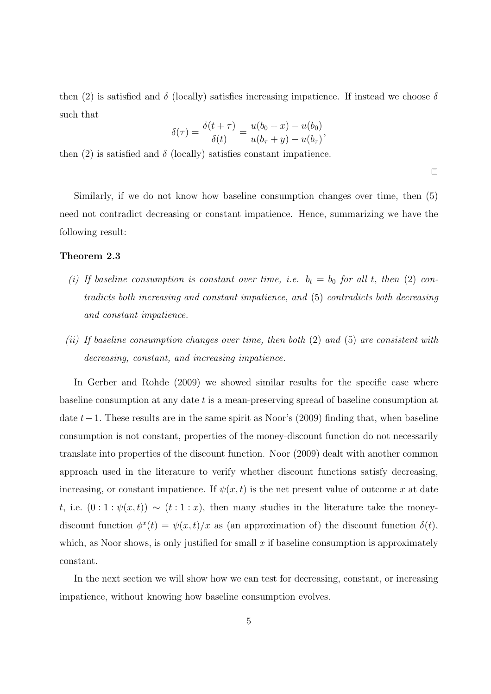then (2) is satisfied and  $\delta$  (locally) satisfies increasing impatience. If instead we choose  $\delta$ such that

$$
\delta(\tau) = \frac{\delta(t+\tau)}{\delta(t)} = \frac{u(b_0+x) - u(b_0)}{u(b_\tau + y) - u(b_\tau)},
$$

then (2) is satisfied and  $\delta$  (locally) satisfies constant impatience.

 $\Box$ 

Similarly, if we do not know how baseline consumption changes over time, then (5) need not contradict decreasing or constant impatience. Hence, summarizing we have the following result:

#### Theorem 2.3

- (i) If baseline consumption is constant over time, i.e.  $b_t = b_0$  for all t, then (2) contradicts both increasing and constant impatience, and (5) contradicts both decreasing and constant impatience.
- (ii) If baseline consumption changes over time, then both (2) and (5) are consistent with decreasing, constant, and increasing impatience.

In Gerber and Rohde (2009) we showed similar results for the specific case where baseline consumption at any date t is a mean-preserving spread of baseline consumption at date t−1. These results are in the same spirit as Noor's (2009) finding that, when baseline consumption is not constant, properties of the money-discount function do not necessarily translate into properties of the discount function. Noor (2009) dealt with another common approach used in the literature to verify whether discount functions satisfy decreasing, increasing, or constant impatience. If  $\psi(x,t)$  is the net present value of outcome x at date t, i.e.  $(0:1:\psi(x,t)) \sim (t:1:x)$ , then many studies in the literature take the moneydiscount function  $\phi^x(t) = \psi(x, t)/x$  as (an approximation of) the discount function  $\delta(t)$ , which, as Noor shows, is only justified for small  $x$  if baseline consumption is approximately constant.

In the next section we will show how we can test for decreasing, constant, or increasing impatience, without knowing how baseline consumption evolves.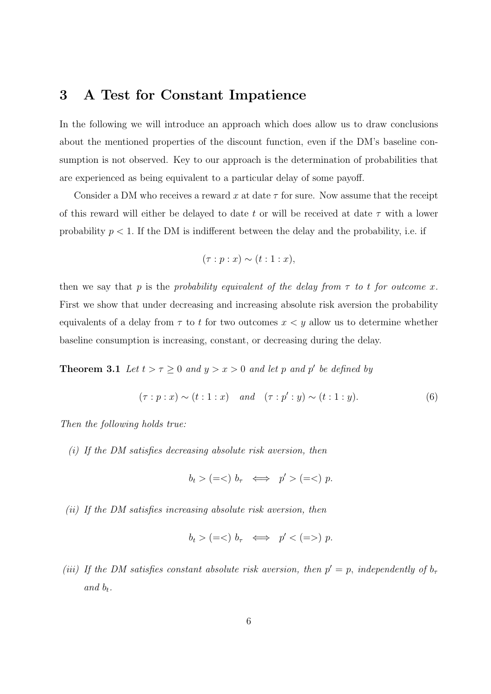#### 3 A Test for Constant Impatience

In the following we will introduce an approach which does allow us to draw conclusions about the mentioned properties of the discount function, even if the DM's baseline consumption is not observed. Key to our approach is the determination of probabilities that are experienced as being equivalent to a particular delay of some payoff.

Consider a DM who receives a reward x at date  $\tau$  for sure. Now assume that the receipt of this reward will either be delayed to date t or will be received at date  $\tau$  with a lower probability  $p < 1$ . If the DM is indifferent between the delay and the probability, i.e. if

$$
(\tau:p:x) \sim (t:1:x),
$$

then we say that p is the probability equivalent of the delay from  $\tau$  to t for outcome x. First we show that under decreasing and increasing absolute risk aversion the probability equivalents of a delay from  $\tau$  to t for two outcomes  $x < y$  allow us to determine whether baseline consumption is increasing, constant, or decreasing during the delay.

**Theorem 3.1** Let  $t > \tau \geq 0$  and  $y > x > 0$  and let p and p' be defined by

$$
(\tau : p : x) \sim (t : 1 : x) \quad and \quad (\tau : p' : y) \sim (t : 1 : y).
$$
 (6)

Then the following holds true:

(i) If the DM satisfies decreasing absolute risk aversion, then

$$
b_t > (=<) b_\tau \iff p' > (=<) p.
$$

(ii) If the DM satisfies increasing absolute risk aversion, then

$$
b_t > (=<) b_\tau \iff p' < (=>) p.
$$

(iii) If the DM satisfies constant absolute risk aversion, then  $p' = p$ , independently of  $b<sub>\tau</sub>$ and  $b_t$ .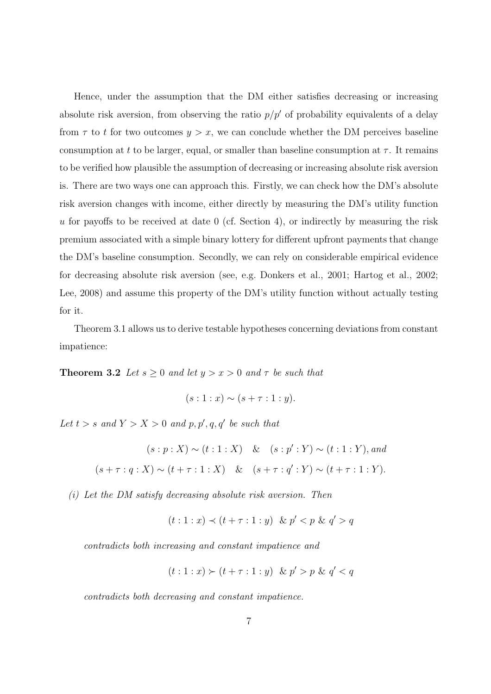Hence, under the assumption that the DM either satisfies decreasing or increasing absolute risk aversion, from observing the ratio  $p/p'$  of probability equivalents of a delay from  $\tau$  to t for two outcomes  $y > x$ , we can conclude whether the DM perceives baseline consumption at t to be larger, equal, or smaller than baseline consumption at  $\tau$ . It remains to be verified how plausible the assumption of decreasing or increasing absolute risk aversion is. There are two ways one can approach this. Firstly, we can check how the DM's absolute risk aversion changes with income, either directly by measuring the DM's utility function u for payoffs to be received at date  $0$  (cf. Section 4), or indirectly by measuring the risk premium associated with a simple binary lottery for different upfront payments that change the DM's baseline consumption. Secondly, we can rely on considerable empirical evidence for decreasing absolute risk aversion (see, e.g. Donkers et al., 2001; Hartog et al., 2002; Lee, 2008) and assume this property of the DM's utility function without actually testing for it.

Theorem 3.1 allows us to derive testable hypotheses concerning deviations from constant impatience:

**Theorem 3.2** Let  $s \geq 0$  and let  $y > x > 0$  and  $\tau$  be such that

$$
(s:1:x) \sim (s+\tau:1:y).
$$

Let  $t > s$  and  $Y > X > 0$  and  $p, p', q, q'$  be such that

$$
(s:p:X) \sim (t:1:X) \& (s:p':Y) \sim (t:1:Y), and
$$
  

$$
(s+\tau:q:X) \sim (t+\tau:1:X) \& (s+\tau:q':Y) \sim (t+\tau:1:Y).
$$

(i) Let the DM satisfy decreasing absolute risk aversion. Then

$$
(t:1:x) \prec (t+\tau:1:y)
$$
 &  $p' < p$  &  $q' > q$ 

contradicts both increasing and constant impatience and

$$
(t:1:x) \succ (t+\tau:1:y) \& p' > p \& q' < q
$$

contradicts both decreasing and constant impatience.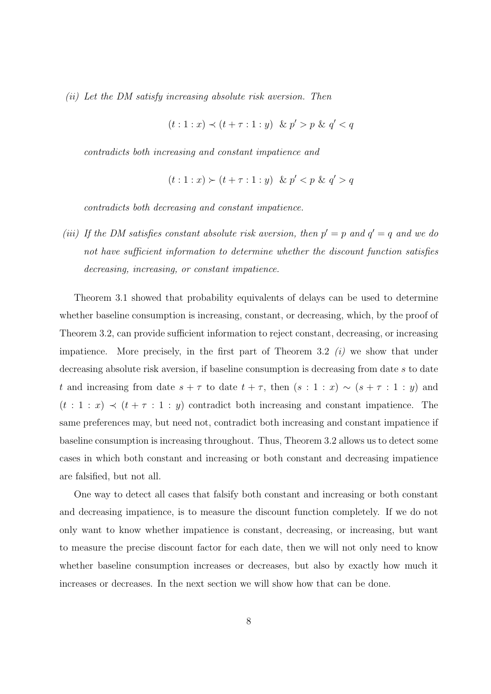(ii) Let the DM satisfy increasing absolute risk aversion. Then

$$
(t:1:x) \prec (t+\tau:1:y) \& p' > p \& q' < q
$$

contradicts both increasing and constant impatience and

$$
(t:1:x) \succ (t+\tau:1:y) \& p' < p \& q' > q
$$

contradicts both decreasing and constant impatience.

(iii) If the DM satisfies constant absolute risk aversion, then  $p' = p$  and  $q' = q$  and we do not have sufficient information to determine whether the discount function satisfies decreasing, increasing, or constant impatience.

Theorem 3.1 showed that probability equivalents of delays can be used to determine whether baseline consumption is increasing, constant, or decreasing, which, by the proof of Theorem 3.2, can provide sufficient information to reject constant, decreasing, or increasing impatience. More precisely, in the first part of Theorem 3.2  $(i)$  we show that under decreasing absolute risk aversion, if baseline consumption is decreasing from date s to date t and increasing from date  $s + \tau$  to date  $t + \tau$ , then  $(s : 1 : x) \sim (s + \tau : 1 : y)$  and  $(t : 1 : x) \prec (t + \tau : 1 : y)$  contradict both increasing and constant impatience. The same preferences may, but need not, contradict both increasing and constant impatience if baseline consumption is increasing throughout. Thus, Theorem 3.2 allows us to detect some cases in which both constant and increasing or both constant and decreasing impatience are falsified, but not all.

One way to detect all cases that falsify both constant and increasing or both constant and decreasing impatience, is to measure the discount function completely. If we do not only want to know whether impatience is constant, decreasing, or increasing, but want to measure the precise discount factor for each date, then we will not only need to know whether baseline consumption increases or decreases, but also by exactly how much it increases or decreases. In the next section we will show how that can be done.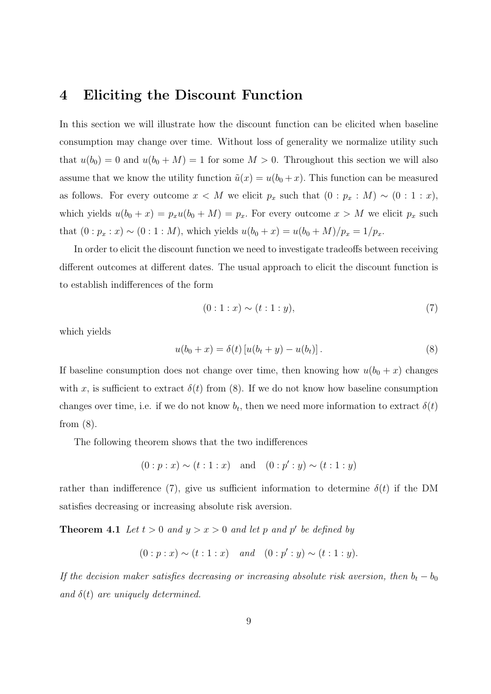#### 4 Eliciting the Discount Function

In this section we will illustrate how the discount function can be elicited when baseline consumption may change over time. Without loss of generality we normalize utility such that  $u(b_0) = 0$  and  $u(b_0 + M) = 1$  for some  $M > 0$ . Throughout this section we will also assume that we know the utility function  $\tilde{u}(x) = u(b_0 + x)$ . This function can be measured as follows. For every outcome  $x < M$  we elicit  $p_x$  such that  $(0 : p_x : M) \sim (0 : 1 : x)$ , which yields  $u(b_0 + x) = p_x u(b_0 + M) = p_x$ . For every outcome  $x > M$  we elicit  $p_x$  such that  $(0 : p_x : x) \sim (0 : 1 : M)$ , which yields  $u(b_0 + x) = u(b_0 + M)/p_x = 1/p_x$ .

In order to elicit the discount function we need to investigate tradeoffs between receiving different outcomes at different dates. The usual approach to elicit the discount function is to establish indifferences of the form

$$
(0:1:x) \sim (t:1:y), \tag{7}
$$

which yields

$$
u(b_0 + x) = \delta(t) [u(b_t + y) - u(b_t)].
$$
\n(8)

If baseline consumption does not change over time, then knowing how  $u(b_0 + x)$  changes with x, is sufficient to extract  $\delta(t)$  from (8). If we do not know how baseline consumption changes over time, i.e. if we do not know  $b_t$ , then we need more information to extract  $\delta(t)$ from (8).

The following theorem shows that the two indifferences

$$
(0:p:x) \sim (t:1:x)
$$
 and  $(0:p':y) \sim (t:1:y)$ 

rather than indifference (7), give us sufficient information to determine  $\delta(t)$  if the DM satisfies decreasing or increasing absolute risk aversion.

**Theorem 4.1** Let  $t > 0$  and  $y > x > 0$  and let p and p' be defined by

 $(0:p:x) \sim (t:1:x)$  and  $(0:p':y) \sim (t:1:y).$ 

If the decision maker satisfies decreasing or increasing absolute risk aversion, then  $b_t - b_0$ and  $\delta(t)$  are uniquely determined.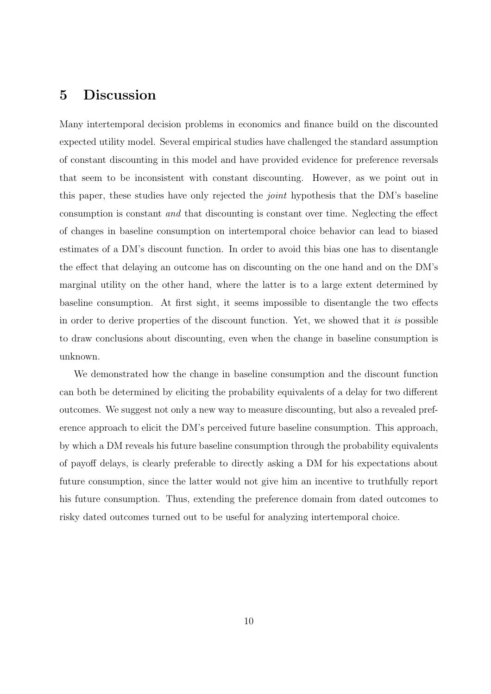### 5 Discussion

Many intertemporal decision problems in economics and finance build on the discounted expected utility model. Several empirical studies have challenged the standard assumption of constant discounting in this model and have provided evidence for preference reversals that seem to be inconsistent with constant discounting. However, as we point out in this paper, these studies have only rejected the joint hypothesis that the DM's baseline consumption is constant and that discounting is constant over time. Neglecting the effect of changes in baseline consumption on intertemporal choice behavior can lead to biased estimates of a DM's discount function. In order to avoid this bias one has to disentangle the effect that delaying an outcome has on discounting on the one hand and on the DM's marginal utility on the other hand, where the latter is to a large extent determined by baseline consumption. At first sight, it seems impossible to disentangle the two effects in order to derive properties of the discount function. Yet, we showed that it is possible to draw conclusions about discounting, even when the change in baseline consumption is unknown.

We demonstrated how the change in baseline consumption and the discount function can both be determined by eliciting the probability equivalents of a delay for two different outcomes. We suggest not only a new way to measure discounting, but also a revealed preference approach to elicit the DM's perceived future baseline consumption. This approach, by which a DM reveals his future baseline consumption through the probability equivalents of payoff delays, is clearly preferable to directly asking a DM for his expectations about future consumption, since the latter would not give him an incentive to truthfully report his future consumption. Thus, extending the preference domain from dated outcomes to risky dated outcomes turned out to be useful for analyzing intertemporal choice.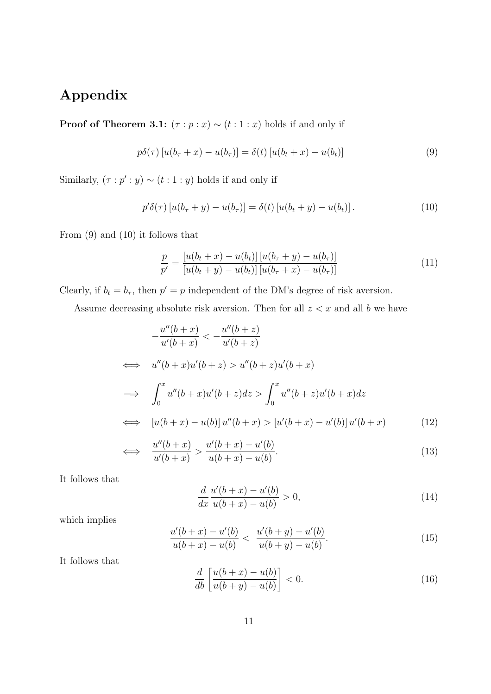## Appendix

**Proof of Theorem 3.1:**  $(\tau : p : x) \sim (t : 1 : x)$  holds if and only if

$$
p\delta(\tau) \left[ u(b_{\tau} + x) - u(b_{\tau}) \right] = \delta(t) \left[ u(b_t + x) - u(b_t) \right] \tag{9}
$$

Similarly,  $(\tau : p' : y) \sim (t : 1 : y)$  holds if and only if

$$
p'\delta(\tau) [u(b_{\tau} + y) - u(b_{\tau})] = \delta(t) [u(b_t + y) - u(b_t)].
$$
\n(10)

From (9) and (10) it follows that

$$
\frac{p}{p'} = \frac{[u(b_t + x) - u(b_t)] [u(b_\tau + y) - u(b_\tau)]}{[u(b_t + y) - u(b_t)] [u(b_\tau + x) - u(b_\tau)]}
$$
(11)

Clearly, if  $b_t = b_\tau$ , then  $p' = p$  independent of the DM's degree of risk aversion.

Assume decreasing absolute risk aversion. Then for all  $z < x$  and all b we have

$$
-\frac{u''(b+x)}{u'(b+x)} < -\frac{u''(b+z)}{u'(b+z)}
$$
  
\n
$$
\iff u''(b+x)u'(b+z) > u''(b+z)u'(b+x)
$$
  
\n
$$
\implies \int_0^x u''(b+x)u'(b+z)dz > \int_0^x u''(b+z)u'(b+x)dz
$$
  
\n
$$
\iff [u(b+x) - u(b)]u''(b+x) > [u'(b+x) - u'(b)]u'(b+x) \qquad (12)
$$

$$
\iff \frac{u''(b+x)}{u'(b+x)} > \frac{u'(b+x) - u'(b)}{u(b+x) - u(b)}.\tag{13}
$$

It follows that

$$
\frac{d}{dx}\frac{u'(b+x) - u'(b)}{u(b+x) - u(b)} > 0,
$$
\n(14)

which implies

$$
\frac{u'(b+x) - u'(b)}{u(b+x) - u(b)} < \frac{u'(b+y) - u'(b)}{u(b+y) - u(b)}.\tag{15}
$$

It follows that

$$
\frac{d}{db} \left[ \frac{u(b+x) - u(b)}{u(b+y) - u(b)} \right] < 0. \tag{16}
$$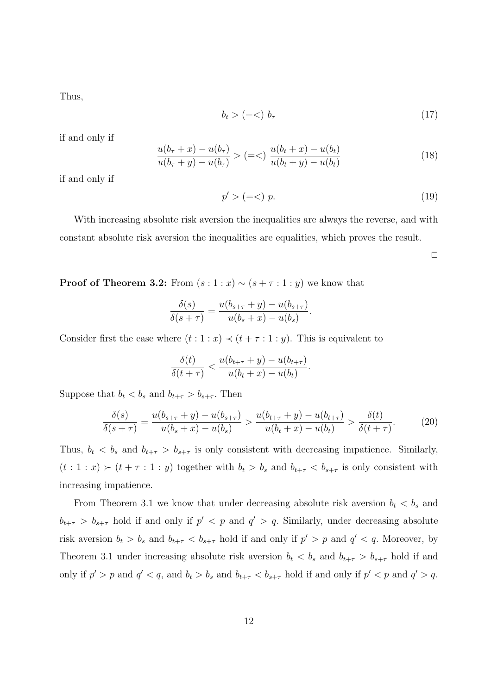Thus,

$$
b_t > (=<) b_\tau \tag{17}
$$

if and only if

$$
\frac{u(b_{\tau} + x) - u(b_{\tau})}{u(b_{\tau} + y) - u(b_{\tau})} > (=<) \frac{u(b_{t} + x) - u(b_{t})}{u(b_{t} + y) - u(b_{t})}
$$
\n(18)

if and only if

$$
p' > (=<) \ p. \tag{19}
$$

With increasing absolute risk aversion the inequalities are always the reverse, and with constant absolute risk aversion the inequalities are equalities, which proves the result.

 $\Box$ 

**Proof of Theorem 3.2:** From  $(s:1:x) \sim (s+\tau:1:y)$  we know that

$$
\frac{\delta(s)}{\delta(s+\tau)} = \frac{u(b_{s+\tau} + y) - u(b_{s+\tau})}{u(b_s + x) - u(b_s)}.
$$

Consider first the case where  $(t:1:x) \prec (t+\tau:1:y)$ . This is equivalent to

$$
\frac{\delta(t)}{\delta(t+\tau)} < \frac{u(b_{t+\tau}+y) - u(b_{t+\tau})}{u(b_t+x) - u(b_t)}.
$$

Suppose that  $b_t < b_s$  and  $b_{t+\tau} > b_{s+\tau}$ . Then

$$
\frac{\delta(s)}{\delta(s+\tau)} = \frac{u(b_{s+\tau} + y) - u(b_{s+\tau})}{u(b_s + x) - u(b_s)} > \frac{u(b_{t+\tau} + y) - u(b_{t+\tau})}{u(b_t + x) - u(b_t)} > \frac{\delta(t)}{\delta(t+\tau)}.
$$
(20)

Thus,  $b_t < b_s$  and  $b_{t+\tau} > b_{s+\tau}$  is only consistent with decreasing impatience. Similarly,  $(t: 1: x) \succ (t + \tau : 1: y)$  together with  $b_t > b_s$  and  $b_{t+\tau} < b_{s+\tau}$  is only consistent with increasing impatience.

From Theorem 3.1 we know that under decreasing absolute risk aversion  $b_t < b_s$  and  $b_{t+\tau} > b_{s+\tau}$  hold if and only if  $p' < p$  and  $q' > q$ . Similarly, under decreasing absolute risk aversion  $b_t > b_s$  and  $b_{t+\tau} < b_{s+\tau}$  hold if and only if  $p' > p$  and  $q' < q$ . Moreover, by Theorem 3.1 under increasing absolute risk aversion  $b_t < b_s$  and  $b_{t+\tau} > b_{s+\tau}$  hold if and only if  $p' > p$  and  $q' < q$ , and  $b_t > b_s$  and  $b_{t+\tau} < b_{s+\tau}$  hold if and only if  $p' < p$  and  $q' > q$ .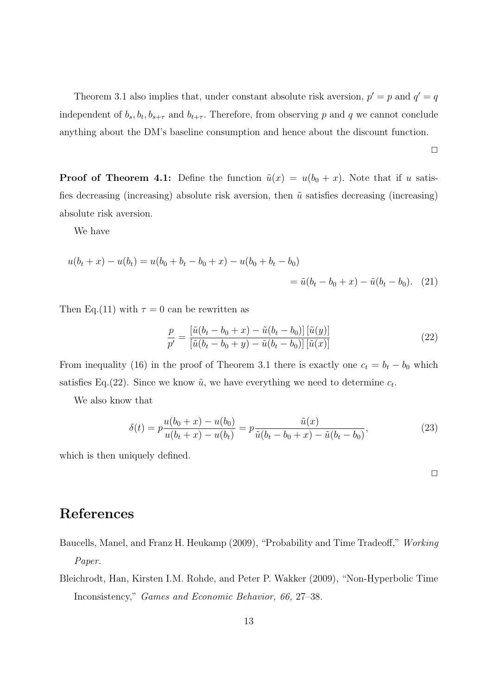Theorem 3.1 also implies that, under constant absolute risk aversion,  $p' = p$  and  $q' = q$ independent of  $b_s$ ,  $b_t$ ,  $b_{s+\tau}$  and  $b_{t+\tau}$ . Therefore, from observing p and q we cannot conclude anything about the DM's baseline consumption and hence about the discount function.

 $\Box$ 

**Proof of Theorem 4.1:** Define the function  $\tilde{u}(x) = u(b_0 + x)$ . Note that if u satisfies decreasing (increasing) absolute risk aversion, then  $\tilde{u}$  satisfies decreasing (increasing) absolute risk aversion.

We have

$$
u(b_t + x) - u(b_t) = u(b_0 + b_t - b_0 + x) - u(b_0 + b_t - b_0)
$$
  
=  $\tilde{u}(b_t - b_0 + x) - \tilde{u}(b_t - b_0).$  (21)

Then Eq.(11) with  $\tau = 0$  can be rewritten as

$$
\frac{p}{p'} = \frac{\left[\tilde{u}(b_t - b_0 + x) - \tilde{u}(b_t - b_0)\right] \left[\tilde{u}(y)\right]}{\left[\tilde{u}(b_t - b_0 + y) - \tilde{u}(b_t - b_0)\right] \left[\tilde{u}(x)\right]}
$$
\n(22)

From inequality (16) in the proof of Theorem 3.1 there is exactly one  $c_t = b_t - b_0$  which satisfies Eq.(22). Since we know  $\tilde{u}$ , we have everything we need to determine  $c_t$ .

We also know that

$$
\delta(t) = p \frac{u(b_0 + x) - u(b_0)}{u(b_t + x) - u(b_t)} = p \frac{\tilde{u}(x)}{\tilde{u}(b_t - b_0 + x) - \tilde{u}(b_t - b_0)},
$$
\n(23)

which is then uniquely defined.

### References

- Baucells, Manel, and Franz H. Heukamp (2009), "Probability and Time Tradeoff," Working Paper.
- Bleichrodt, Han, Kirsten I.M. Rohde, and Peter P. Wakker (2009), "Non-Hyperbolic Time Inconsistency," Games and Economic Behavior, 66, 27–38.